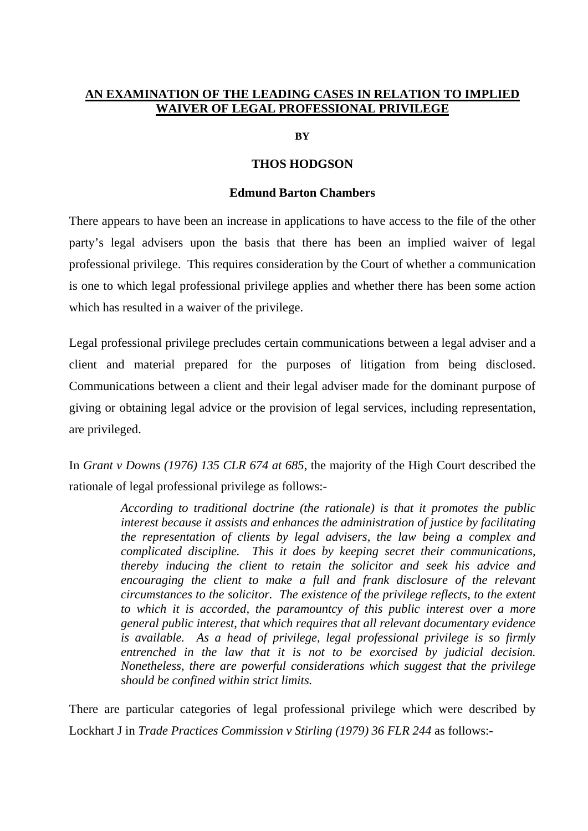## **AN EXAMINATION OF THE LEADING CASES IN RELATION TO IMPLIED WAIVER OF LEGAL PROFESSIONAL PRIVILEGE**

**BY** 

## **THOS HODGSON**

## **Edmund Barton Chambers**

There appears to have been an increase in applications to have access to the file of the other party's legal advisers upon the basis that there has been an implied waiver of legal professional privilege. This requires consideration by the Court of whether a communication is one to which legal professional privilege applies and whether there has been some action which has resulted in a waiver of the privilege.

Legal professional privilege precludes certain communications between a legal adviser and a client and material prepared for the purposes of litigation from being disclosed. Communications between a client and their legal adviser made for the dominant purpose of giving or obtaining legal advice or the provision of legal services, including representation, are privileged.

In *Grant v Downs (1976) 135 CLR 674 at 685*, the majority of the High Court described the rationale of legal professional privilege as follows:-

> *According to traditional doctrine (the rationale) is that it promotes the public interest because it assists and enhances the administration of justice by facilitating the representation of clients by legal advisers, the law being a complex and complicated discipline. This it does by keeping secret their communications, thereby inducing the client to retain the solicitor and seek his advice and encouraging the client to make a full and frank disclosure of the relevant circumstances to the solicitor. The existence of the privilege reflects, to the extent to which it is accorded, the paramountcy of this public interest over a more general public interest, that which requires that all relevant documentary evidence is available. As a head of privilege, legal professional privilege is so firmly entrenched in the law that it is not to be exorcised by judicial decision. Nonetheless, there are powerful considerations which suggest that the privilege should be confined within strict limits.*

There are particular categories of legal professional privilege which were described by Lockhart J in *Trade Practices Commission v Stirling (1979) 36 FLR 244* as follows:*-*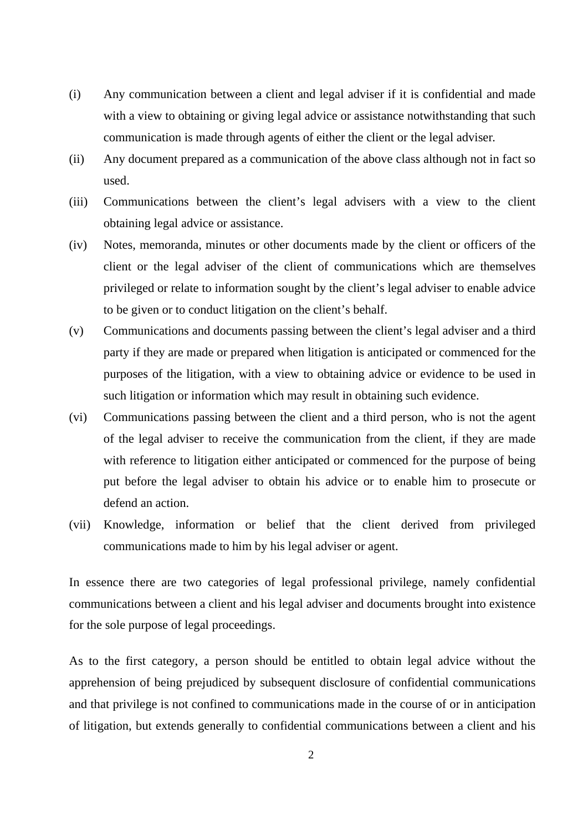- (i) Any communication between a client and legal adviser if it is confidential and made with a view to obtaining or giving legal advice or assistance not with standing that such communication is made through agents of either the client or the legal adviser*.*
- (ii) Any document prepared as a communication of the above class although not in fact so used.
- (iii) Communications between the client's legal advisers with a view to the client obtaining legal advice or assistance.
- (iv) Notes, memoranda, minutes or other documents made by the client or officers of the client or the legal adviser of the client of communications which are themselves privileged or relate to information sought by the client's legal adviser to enable advice to be given or to conduct litigation on the client's behalf.
- (v) Communications and documents passing between the client's legal adviser and a third party if they are made or prepared when litigation is anticipated or commenced for the purposes of the litigation, with a view to obtaining advice or evidence to be used in such litigation or information which may result in obtaining such evidence.
- (vi) Communications passing between the client and a third person, who is not the agent of the legal adviser to receive the communication from the client, if they are made with reference to litigation either anticipated or commenced for the purpose of being put before the legal adviser to obtain his advice or to enable him to prosecute or defend an action.
- (vii) Knowledge, information or belief that the client derived from privileged communications made to him by his legal adviser or agent.

In essence there are two categories of legal professional privilege, namely confidential communications between a client and his legal adviser and documents brought into existence for the sole purpose of legal proceedings.

As to the first category, a person should be entitled to obtain legal advice without the apprehension of being prejudiced by subsequent disclosure of confidential communications and that privilege is not confined to communications made in the course of or in anticipation of litigation, but extends generally to confidential communications between a client and his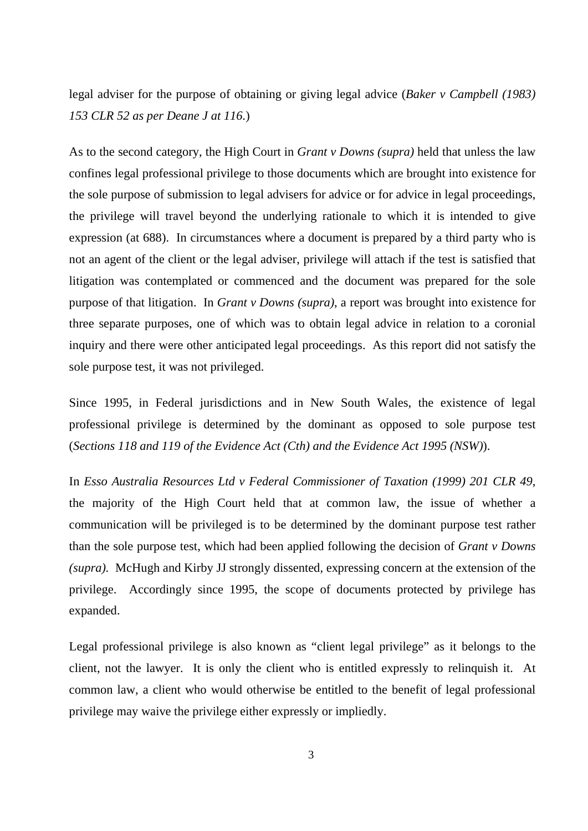legal adviser for the purpose of obtaining or giving legal advice (*Baker v Campbell (1983) 153 CLR 52 as per Deane J at 116.*)

As to the second category, the High Court in *Grant v Downs (supra)* held that unless the law confines legal professional privilege to those documents which are brought into existence for the sole purpose of submission to legal advisers for advice or for advice in legal proceedings, the privilege will travel beyond the underlying rationale to which it is intended to give expression (at 688).In circumstances where a document is prepared by a third party who is not an agent of the client or the legal adviser, privilege will attach if the test is satisfied that litigation was contemplated or commenced and the document was prepared for the sole purpose of that litigation. In *Grant v Downs (supra)*, a report was brought into existence for three separate purposes, one of which was to obtain legal advice in relation to a coronial inquiry and there were other anticipated legal proceedings. As this report did not satisfy the sole purpose test, it was not privileged.

Since 1995, in Federal jurisdictions and in New South Wales, the existence of legal professional privilege is determined by the dominant as opposed to sole purpose test (*Sections 118 and 119 of the Evidence Act (Cth) and the Evidence Act 1995 (NSW)*).

In *Esso Australia Resources Ltd v Federal Commissioner of Taxation (1999) 201 CLR 49*, the majority of the High Court held that at common law, the issue of whether a communication will be privileged is to be determined by the dominant purpose test rather than the sole purpose test, which had been applied following the decision of *Grant v Downs (supra).* McHugh and Kirby JJ strongly dissented, expressing concern at the extension of the privilege. Accordingly since 1995, the scope of documents protected by privilege has expanded.

Legal professional privilege is also known as "client legal privilege" as it belongs to the client, not the lawyer. It is only the client who is entitled expressly to relinquish it. At common law, a client who would otherwise be entitled to the benefit of legal professional privilege may waive the privilege either expressly or impliedly.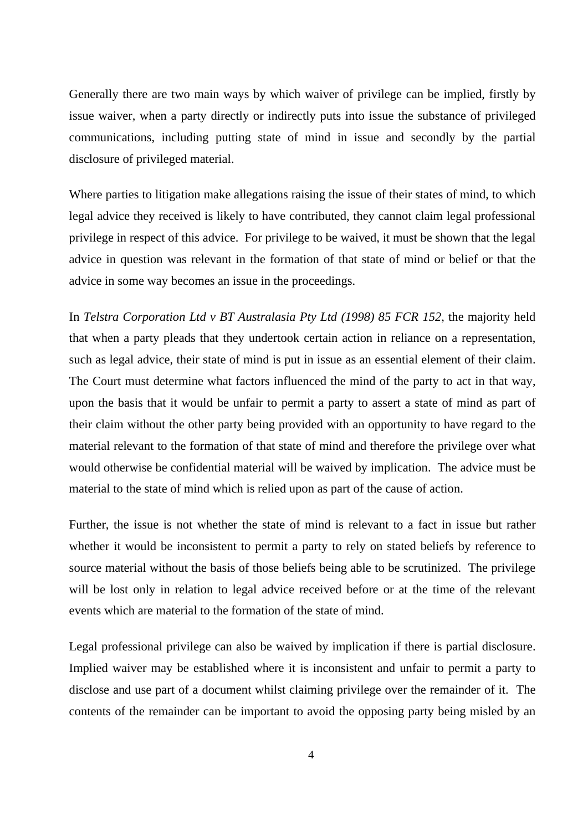Generally there are two main ways by which waiver of privilege can be implied, firstly by issue waiver, when a party directly or indirectly puts into issue the substance of privileged communications, including putting state of mind in issue and secondly by the partial disclosure of privileged material.

Where parties to litigation make allegations raising the issue of their states of mind, to which legal advice they received is likely to have contributed, they cannot claim legal professional privilege in respect of this advice. For privilege to be waived, it must be shown that the legal advice in question was relevant in the formation of that state of mind or belief or that the advice in some way becomes an issue in the proceedings.

In *Telstra Corporation Ltd v BT Australasia Pty Ltd (1998) 85 FCR 152*, the majority held that when a party pleads that they undertook certain action in reliance on a representation, such as legal advice, their state of mind is put in issue as an essential element of their claim. The Court must determine what factors influenced the mind of the party to act in that way, upon the basis that it would be unfair to permit a party to assert a state of mind as part of their claim without the other party being provided with an opportunity to have regard to the material relevant to the formation of that state of mind and therefore the privilege over what would otherwise be confidential material will be waived by implication. The advice must be material to the state of mind which is relied upon as part of the cause of action.

Further, the issue is not whether the state of mind is relevant to a fact in issue but rather whether it would be inconsistent to permit a party to rely on stated beliefs by reference to source material without the basis of those beliefs being able to be scrutinized. The privilege will be lost only in relation to legal advice received before or at the time of the relevant events which are material to the formation of the state of mind.

Legal professional privilege can also be waived by implication if there is partial disclosure. Implied waiver may be established where it is inconsistent and unfair to permit a party to disclose and use part of a document whilst claiming privilege over the remainder of it. The contents of the remainder can be important to avoid the opposing party being misled by an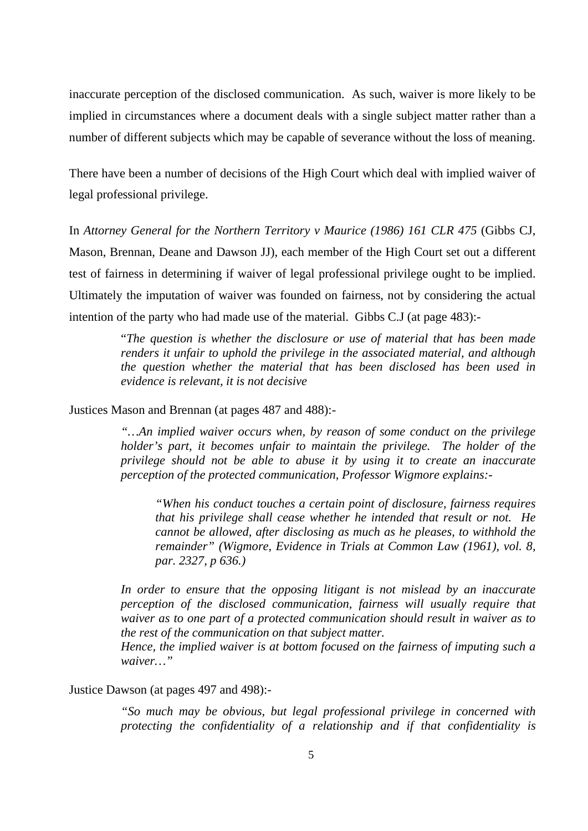inaccurate perception of the disclosed communication. As such, waiver is more likely to be implied in circumstances where a document deals with a single subject matter rather than a number of different subjects which may be capable of severance without the loss of meaning.

There have been a number of decisions of the High Court which deal with implied waiver of legal professional privilege.

In *Attorney General for the Northern Territory v Maurice (1986) 161 CLR 475* (Gibbs CJ, Mason, Brennan, Deane and Dawson JJ), each member of the High Court set out a different test of fairness in determining if waiver of legal professional privilege ought to be implied. Ultimately the imputation of waiver was founded on fairness, not by considering the actual intention of the party who had made use of the material. Gibbs C.J (at page 483):-

> "*The question is whether the disclosure or use of material that has been made renders it unfair to uphold the privilege in the associated material, and although the question whether the material that has been disclosed has been used in evidence is relevant, it is not decisive*

Justices Mason and Brennan (at pages 487 and 488):-

*"…An implied waiver occurs when, by reason of some conduct on the privilege holder's part, it becomes unfair to maintain the privilege. The holder of the privilege should not be able to abuse it by using it to create an inaccurate perception of the protected communication, Professor Wigmore explains:-* 

*"When his conduct touches a certain point of disclosure, fairness requires that his privilege shall cease whether he intended that result or not. He cannot be allowed, after disclosing as much as he pleases, to withhold the remainder" (Wigmore, Evidence in Trials at Common Law (1961), vol. 8, par. 2327, p 636.)* 

*In order to ensure that the opposing litigant is not mislead by an inaccurate perception of the disclosed communication, fairness will usually require that waiver as to one part of a protected communication should result in waiver as to the rest of the communication on that subject matter.* 

*Hence, the implied waiver is at bottom focused on the fairness of imputing such a waiver…"* 

Justice Dawson (at pages 497 and 498):-

*"So much may be obvious, but legal professional privilege in concerned with protecting the confidentiality of a relationship and if that confidentiality is*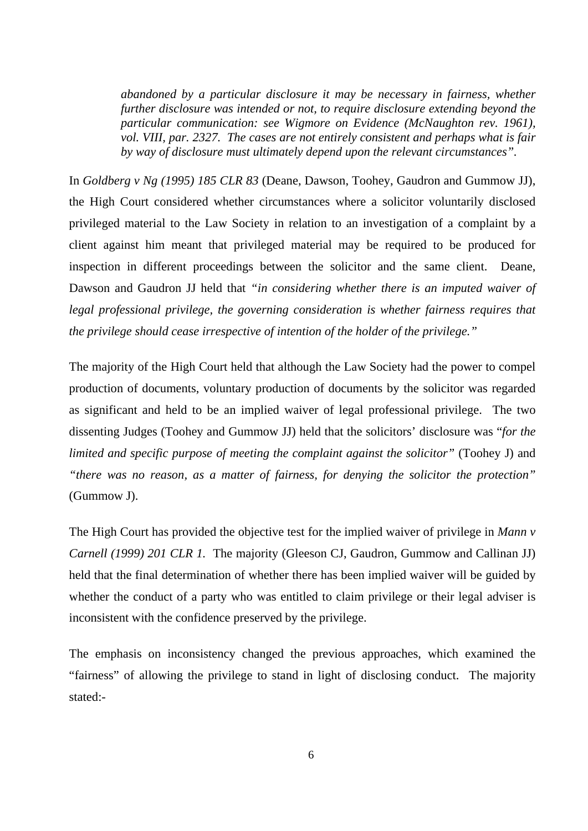*abandoned by a particular disclosure it may be necessary in fairness, whether further disclosure was intended or not, to require disclosure extending beyond the particular communication: see Wigmore on Evidence (McNaughton rev. 1961), vol. VIII, par. 2327. The cases are not entirely consistent and perhaps what is fair by way of disclosure must ultimately depend upon the relevant circumstances".* 

In *Goldberg v Ng (1995) 185 CLR 83* (Deane, Dawson, Toohey, Gaudron and Gummow JJ), the High Court considered whether circumstances where a solicitor voluntarily disclosed privileged material to the Law Society in relation to an investigation of a complaint by a client against him meant that privileged material may be required to be produced for inspection in different proceedings between the solicitor and the same client. Deane, Dawson and Gaudron JJ held that *"in considering whether there is an imputed waiver of legal professional privilege, the governing consideration is whether fairness requires that the privilege should cease irrespective of intention of the holder of the privilege."*

The majority of the High Court held that although the Law Society had the power to compel production of documents, voluntary production of documents by the solicitor was regarded as significant and held to be an implied waiver of legal professional privilege. The two dissenting Judges (Toohey and Gummow JJ) held that the solicitors' disclosure was "*for the limited and specific purpose of meeting the complaint against the solicitor"* (Toohey J) and *"there was no reason, as a matter of fairness, for denying the solicitor the protection"* (Gummow J).

The High Court has provided the objective test for the implied waiver of privilege in *Mann v Carnell (1999) 201 CLR 1.* The majority (Gleeson CJ, Gaudron, Gummow and Callinan JJ) held that the final determination of whether there has been implied waiver will be guided by whether the conduct of a party who was entitled to claim privilege or their legal adviser is inconsistent with the confidence preserved by the privilege.

The emphasis on inconsistency changed the previous approaches, which examined the "fairness" of allowing the privilege to stand in light of disclosing conduct. The majority stated:-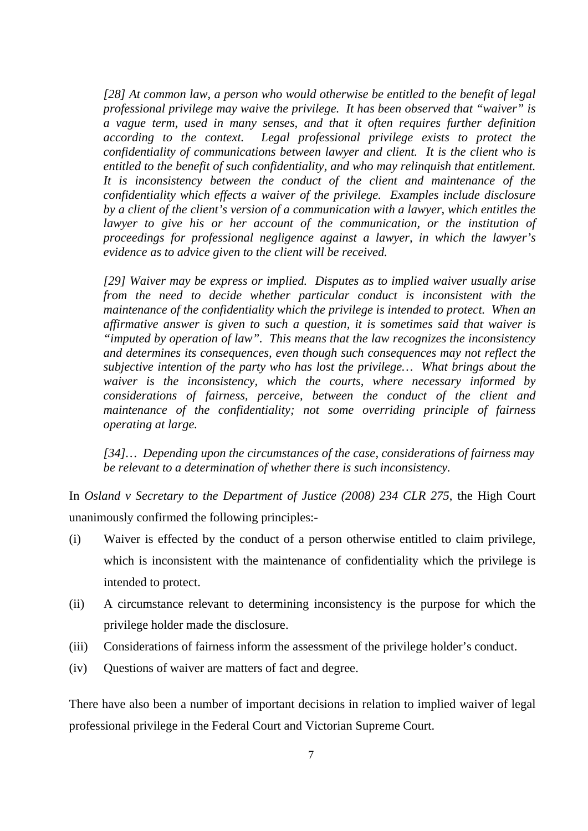*[28] At common law, a person who would otherwise be entitled to the benefit of legal professional privilege may waive the privilege. It has been observed that "waiver" is a vague term, used in many senses, and that it often requires further definition according to the context. Legal professional privilege exists to protect the confidentiality of communications between lawyer and client. It is the client who is entitled to the benefit of such confidentiality, and who may relinquish that entitlement. It is inconsistency between the conduct of the client and maintenance of the confidentiality which effects a waiver of the privilege. Examples include disclosure by a client of the client's version of a communication with a lawyer, which entitles the lawyer to give his or her account of the communication, or the institution of proceedings for professional negligence against a lawyer, in which the lawyer's evidence as to advice given to the client will be received.* 

 *[29] Waiver may be express or implied. Disputes as to implied waiver usually arise from the need to decide whether particular conduct is inconsistent with the maintenance of the confidentiality which the privilege is intended to protect. When an affirmative answer is given to such a question, it is sometimes said that waiver is "imputed by operation of law". This means that the law recognizes the inconsistency and determines its consequences, even though such consequences may not reflect the subjective intention of the party who has lost the privilege… What brings about the waiver is the inconsistency, which the courts, where necessary informed by considerations of fairness, perceive, between the conduct of the client and maintenance of the confidentiality; not some overriding principle of fairness operating at large.* 

 *[34]… Depending upon the circumstances of the case, considerations of fairness may be relevant to a determination of whether there is such inconsistency.* 

In *Osland v Secretary to the Department of Justice (2008) 234 CLR 275*, the High Court unanimously confirmed the following principles:-

- (i) Waiver is effected by the conduct of a person otherwise entitled to claim privilege, which is inconsistent with the maintenance of confidentiality which the privilege is intended to protect.
- (ii) A circumstance relevant to determining inconsistency is the purpose for which the privilege holder made the disclosure.
- (iii) Considerations of fairness inform the assessment of the privilege holder's conduct.
- (iv) Questions of waiver are matters of fact and degree.

There have also been a number of important decisions in relation to implied waiver of legal professional privilege in the Federal Court and Victorian Supreme Court.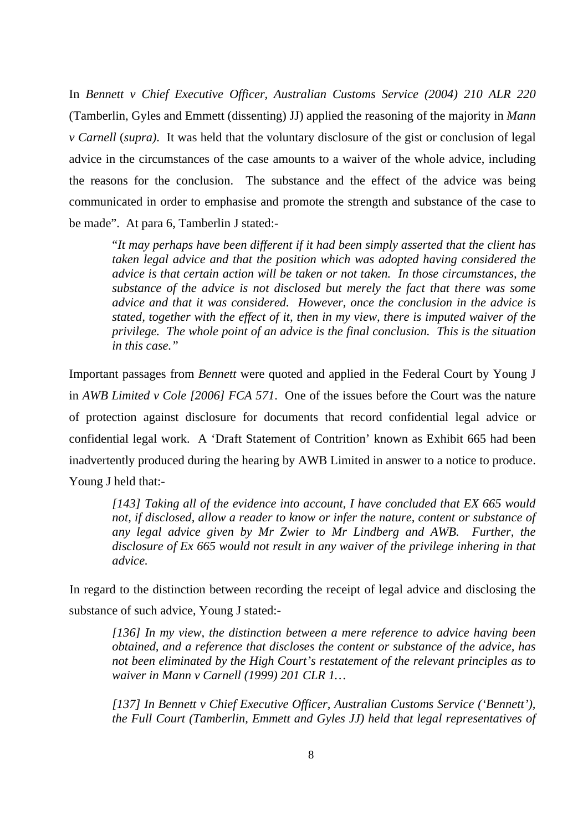In *Bennett v Chief Executive Officer, Australian Customs Service (2004) 210 ALR 220* (Tamberlin, Gyles and Emmett (dissenting) JJ) applied the reasoning of the majority in *Mann v Carnell* (*supra)*. It was held that the voluntary disclosure of the gist or conclusion of legal advice in the circumstances of the case amounts to a waiver of the whole advice, including the reasons for the conclusion. The substance and the effect of the advice was being communicated in order to emphasise and promote the strength and substance of the case to be made". At para 6, Tamberlin J stated:-

 "*It may perhaps have been different if it had been simply asserted that the client has taken legal advice and that the position which was adopted having considered the advice is that certain action will be taken or not taken. In those circumstances, the substance of the advice is not disclosed but merely the fact that there was some advice and that it was considered. However, once the conclusion in the advice is stated, together with the effect of it, then in my view, there is imputed waiver of the privilege. The whole point of an advice is the final conclusion. This is the situation in this case."* 

Important passages from *Bennett* were quoted and applied in the Federal Court by Young J in *AWB Limited v Cole [2006] FCA 571*. One of the issues before the Court was the nature of protection against disclosure for documents that record confidential legal advice or confidential legal work. A 'Draft Statement of Contrition' known as Exhibit 665 had been inadvertently produced during the hearing by AWB Limited in answer to a notice to produce. Young J held that:-

*[143] Taking all of the evidence into account, I have concluded that EX 665 would not, if disclosed, allow a reader to know or infer the nature, content or substance of any legal advice given by Mr Zwier to Mr Lindberg and AWB. Further, the disclosure of Ex 665 would not result in any waiver of the privilege inhering in that advice.* 

In regard to the distinction between recording the receipt of legal advice and disclosing the substance of such advice, Young J stated:-

*[136] In my view, the distinction between a mere reference to advice having been obtained, and a reference that discloses the content or substance of the advice, has not been eliminated by the High Court's restatement of the relevant principles as to waiver in Mann v Carnell (1999) 201 CLR 1…* 

 *[137] In Bennett v Chief Executive Officer, Australian Customs Service ('Bennett'), the Full Court (Tamberlin, Emmett and Gyles JJ) held that legal representatives of*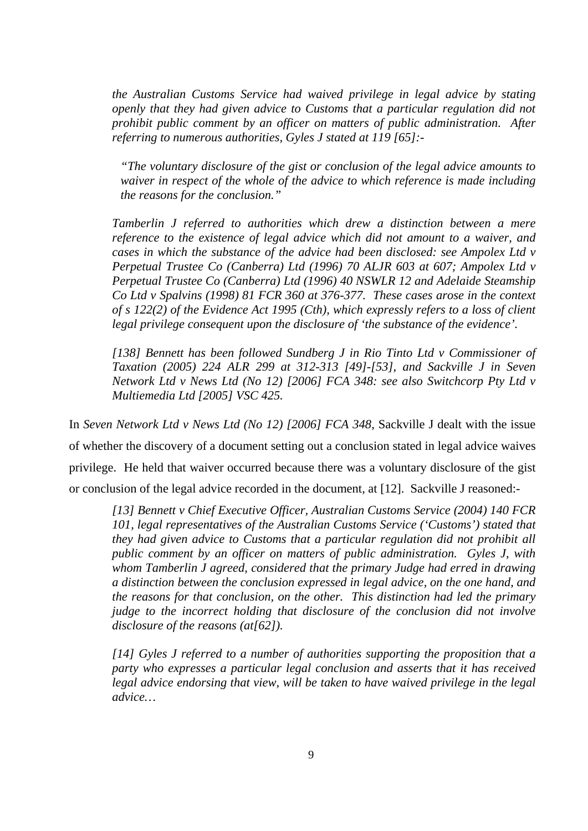*the Australian Customs Service had waived privilege in legal advice by stating openly that they had given advice to Customs that a particular regulation did not prohibit public comment by an officer on matters of public administration. After referring to numerous authorities, Gyles J stated at 119 [65]:-* 

*"The voluntary disclosure of the gist or conclusion of the legal advice amounts to waiver in respect of the whole of the advice to which reference is made including the reasons for the conclusion."* 

*Tamberlin J referred to authorities which drew a distinction between a mere reference to the existence of legal advice which did not amount to a waiver, and cases in which the substance of the advice had been disclosed: see Ampolex Ltd v Perpetual Trustee Co (Canberra) Ltd (1996) 70 ALJR 603 at 607; Ampolex Ltd v Perpetual Trustee Co (Canberra) Ltd (1996) 40 NSWLR 12 and Adelaide Steamship Co Ltd v Spalvins (1998) 81 FCR 360 at 376-377. These cases arose in the context of s 122(2) of the Evidence Act 1995 (Cth), which expressly refers to a loss of client legal privilege consequent upon the disclosure of 'the substance of the evidence'.* 

*[138] Bennett has been followed Sundberg J in Rio Tinto Ltd v Commissioner of Taxation (2005) 224 ALR 299 at 312-313 [49]-[53], and Sackville J in Seven Network Ltd v News Ltd (No 12) [2006] FCA 348: see also Switchcorp Pty Ltd v Multiemedia Ltd [2005] VSC 425.* 

In *Seven Network Ltd v News Ltd (No 12) [2006] FCA 348*, Sackville J dealt with the issue of whether the discovery of a document setting out a conclusion stated in legal advice waives privilege. He held that waiver occurred because there was a voluntary disclosure of the gist or conclusion of the legal advice recorded in the document, at [12]. Sackville J reasoned:-

*[13] Bennett v Chief Executive Officer, Australian Customs Service (2004) 140 FCR 101, legal representatives of the Australian Customs Service ('Customs') stated that they had given advice to Customs that a particular regulation did not prohibit all public comment by an officer on matters of public administration. Gyles J, with whom Tamberlin J agreed, considered that the primary Judge had erred in drawing a distinction between the conclusion expressed in legal advice, on the one hand, and the reasons for that conclusion, on the other. This distinction had led the primary judge to the incorrect holding that disclosure of the conclusion did not involve disclosure of the reasons (at[62]).* 

*[14] Gyles J referred to a number of authorities supporting the proposition that a party who expresses a particular legal conclusion and asserts that it has received legal advice endorsing that view, will be taken to have waived privilege in the legal advice…*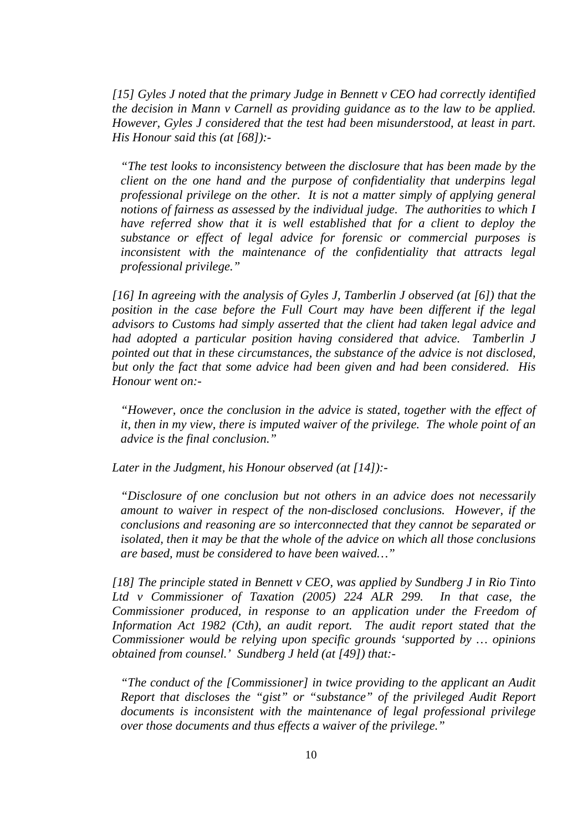*[15] Gyles J noted that the primary Judge in Bennett v CEO had correctly identified the decision in Mann v Carnell as providing guidance as to the law to be applied. However, Gyles J considered that the test had been misunderstood, at least in part. His Honour said this (at [68]):-* 

*"The test looks to inconsistency between the disclosure that has been made by the client on the one hand and the purpose of confidentiality that underpins legal professional privilege on the other. It is not a matter simply of applying general notions of fairness as assessed by the individual judge. The authorities to which I have referred show that it is well established that for a client to deploy the substance or effect of legal advice for forensic or commercial purposes is inconsistent with the maintenance of the confidentiality that attracts legal professional privilege."* 

*[16] In agreeing with the analysis of Gyles J, Tamberlin J observed (at [6]) that the position in the case before the Full Court may have been different if the legal advisors to Customs had simply asserted that the client had taken legal advice and had adopted a particular position having considered that advice. Tamberlin J pointed out that in these circumstances, the substance of the advice is not disclosed, but only the fact that some advice had been given and had been considered. His Honour went on:-* 

*"However, once the conclusion in the advice is stated, together with the effect of it, then in my view, there is imputed waiver of the privilege. The whole point of an advice is the final conclusion."* 

*Later in the Judgment, his Honour observed (at [14]):-* 

*"Disclosure of one conclusion but not others in an advice does not necessarily amount to waiver in respect of the non-disclosed conclusions. However, if the conclusions and reasoning are so interconnected that they cannot be separated or isolated, then it may be that the whole of the advice on which all those conclusions are based, must be considered to have been waived…"* 

*[18] The principle stated in Bennett v CEO, was applied by Sundberg J in Rio Tinto Ltd v Commissioner of Taxation (2005) 224 ALR 299. In that case, the Commissioner produced, in response to an application under the Freedom of Information Act 1982 (Cth), an audit report. The audit report stated that the Commissioner would be relying upon specific grounds 'supported by … opinions obtained from counsel.' Sundberg J held (at [49]) that:-* 

*"The conduct of the [Commissioner] in twice providing to the applicant an Audit Report that discloses the "gist" or "substance" of the privileged Audit Report documents is inconsistent with the maintenance of legal professional privilege over those documents and thus effects a waiver of the privilege."*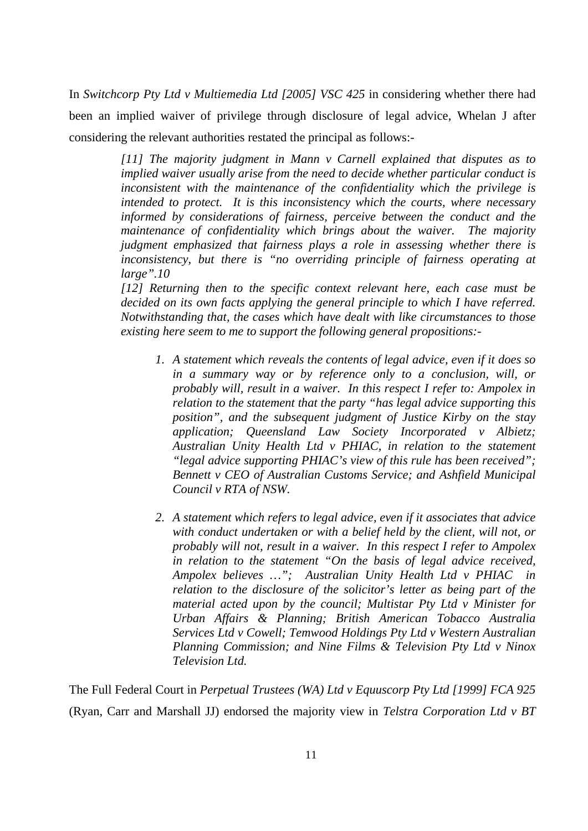In *Switchcorp Pty Ltd v Multiemedia Ltd [2005] VSC 425* in considering whether there had been an implied waiver of privilege through disclosure of legal advice, Whelan J after considering the relevant authorities restated the principal as follows:-

> *[11] The majority judgment in Mann v Carnell explained that disputes as to implied waiver usually arise from the need to decide whether particular conduct is inconsistent with the maintenance of the confidentiality which the privilege is intended to protect. It is this inconsistency which the courts, where necessary informed by considerations of fairness, perceive between the conduct and the maintenance of confidentiality which brings about the waiver. The majority judgment emphasized that fairness plays a role in assessing whether there is inconsistency, but there is "no overriding principle of fairness operating at large".10*

> *[12] Returning then to the specific context relevant here, each case must be decided on its own facts applying the general principle to which I have referred. Notwithstanding that, the cases which have dealt with like circumstances to those existing here seem to me to support the following general propositions:-*

- *1. A statement which reveals the contents of legal advice, even if it does so in a summary way or by reference only to a conclusion, will, or probably will, result in a waiver. In this respect I refer to: Ampolex in relation to the statement that the party "has legal advice supporting this position", and the subsequent judgment of Justice Kirby on the stay application; Queensland Law Society Incorporated v Albietz; Australian Unity Health Ltd v PHIAC, in relation to the statement "legal advice supporting PHIAC's view of this rule has been received"; Bennett v CEO of Australian Customs Service; and Ashfield Municipal Council v RTA of NSW.*
- *2. A statement which refers to legal advice, even if it associates that advice with conduct undertaken or with a belief held by the client, will not, or probably will not, result in a waiver. In this respect I refer to Ampolex in relation to the statement "On the basis of legal advice received, Ampolex believes …"; Australian Unity Health Ltd v PHIAC in relation to the disclosure of the solicitor's letter as being part of the material acted upon by the council; Multistar Pty Ltd v Minister for Urban Affairs & Planning; British American Tobacco Australia Services Ltd v Cowell; Temwood Holdings Pty Ltd v Western Australian Planning Commission; and Nine Films & Television Pty Ltd v Ninox Television Ltd.*

The Full Federal Court in *Perpetual Trustees (WA) Ltd v Equuscorp Pty Ltd [1999] FCA 925*  (Ryan, Carr and Marshall JJ) endorsed the majority view in *Telstra Corporation Ltd v BT*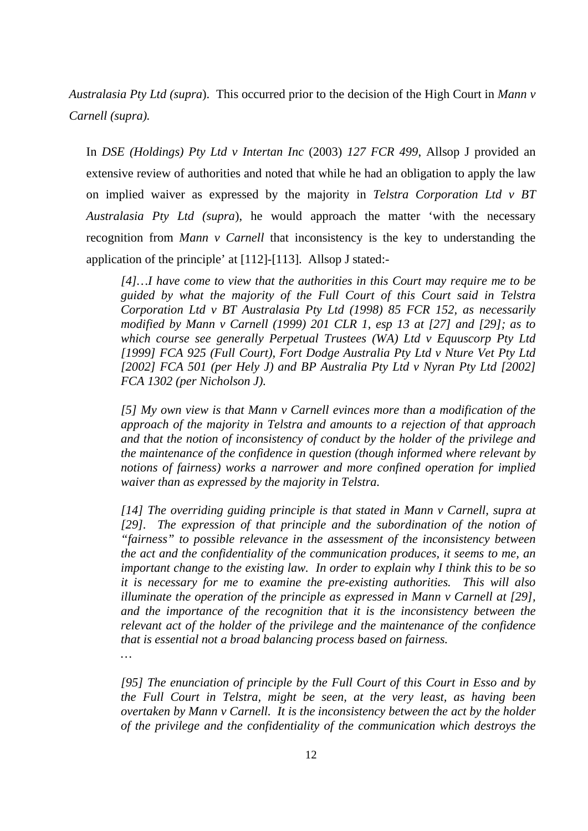*Australasia Pty Ltd (supra*). This occurred prior to the decision of the High Court in *Mann v Carnell (supra).*

In *DSE (Holdings) Pty Ltd v Intertan Inc* (2003) *127 FCR 499*, Allsop J provided an extensive review of authorities and noted that while he had an obligation to apply the law on implied waiver as expressed by the majority in *Telstra Corporation Ltd v BT Australasia Pty Ltd (supra*), he would approach the matter 'with the necessary recognition from *Mann v Carnell* that inconsistency is the key to understanding the application of the principle' at [112]-[113]. Allsop J stated:-

*[4]…I have come to view that the authorities in this Court may require me to be guided by what the majority of the Full Court of this Court said in Telstra Corporation Ltd v BT Australasia Pty Ltd (1998) 85 FCR 152, as necessarily modified by Mann v Carnell (1999) 201 CLR 1, esp 13 at [27] and [29]; as to which course see generally Perpetual Trustees (WA) Ltd v Equuscorp Pty Ltd [1999] FCA 925 (Full Court), Fort Dodge Australia Pty Ltd v Nture Vet Pty Ltd [2002] FCA 501 (per Hely J) and BP Australia Pty Ltd v Nyran Pty Ltd [2002] FCA 1302 (per Nicholson J).* 

*[5] My own view is that Mann v Carnell evinces more than a modification of the approach of the majority in Telstra and amounts to a rejection of that approach and that the notion of inconsistency of conduct by the holder of the privilege and the maintenance of the confidence in question (though informed where relevant by notions of fairness) works a narrower and more confined operation for implied waiver than as expressed by the majority in Telstra.* 

*[14] The overriding guiding principle is that stated in Mann v Carnell, supra at [29]. The expression of that principle and the subordination of the notion of "fairness" to possible relevance in the assessment of the inconsistency between the act and the confidentiality of the communication produces, it seems to me, an important change to the existing law. In order to explain why I think this to be so it is necessary for me to examine the pre-existing authorities. This will also illuminate the operation of the principle as expressed in Mann v Carnell at [29], and the importance of the recognition that it is the inconsistency between the relevant act of the holder of the privilege and the maintenance of the confidence that is essential not a broad balancing process based on fairness. …* 

*[95] The enunciation of principle by the Full Court of this Court in Esso and by the Full Court in Telstra, might be seen, at the very least, as having been overtaken by Mann v Carnell. It is the inconsistency between the act by the holder of the privilege and the confidentiality of the communication which destroys the*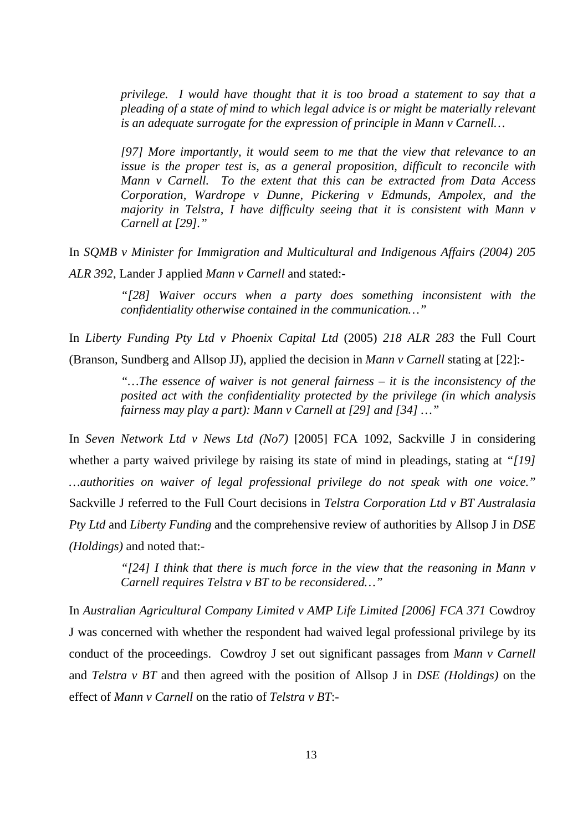*privilege. I would have thought that it is too broad a statement to say that a pleading of a state of mind to which legal advice is or might be materially relevant is an adequate surrogate for the expression of principle in Mann v Carnell…* 

*[97] More importantly, it would seem to me that the view that relevance to an issue is the proper test is, as a general proposition, difficult to reconcile with Mann v Carnell. To the extent that this can be extracted from Data Access Corporation, Wardrope v Dunne, Pickering v Edmunds, Ampolex, and the majority in Telstra, I have difficulty seeing that it is consistent with Mann v Carnell at [29]."* 

In *SQMB v Minister for Immigration and Multicultural and Indigenous Affairs (2004) 205 ALR 392*, Lander J applied *Mann v Carnell* and stated:-

> *"[28] Waiver occurs when a party does something inconsistent with the confidentiality otherwise contained in the communication…"*

In *Liberty Funding Pty Ltd v Phoenix Capital Ltd* (2005) *218 ALR 283* the Full Court (Branson, Sundberg and Allsop JJ), applied the decision in *Mann v Carnell* stating at [22]:-

> *"…The essence of waiver is not general fairness – it is the inconsistency of the posited act with the confidentiality protected by the privilege (in which analysis fairness may play a part): Mann v Carnell at [29] and [34] …"*

In *Seven Network Ltd v News Ltd (No7)* [2005] FCA 1092, Sackville J in considering whether a party waived privilege by raising its state of mind in pleadings, stating at *"[19] …authorities on waiver of legal professional privilege do not speak with one voice."* Sackville J referred to the Full Court decisions in *Telstra Corporation Ltd v BT Australasia Pty Ltd* and *Liberty Funding* and the comprehensive review of authorities by Allsop J in *DSE (Holdings)* and noted that:-

> *"[24] I think that there is much force in the view that the reasoning in Mann v Carnell requires Telstra v BT to be reconsidered…"*

In *Australian Agricultural Company Limited v AMP Life Limited [2006] FCA 371* Cowdroy J was concerned with whether the respondent had waived legal professional privilege by its conduct of the proceedings. Cowdroy J set out significant passages from *Mann v Carnell* and *Telstra v BT* and then agreed with the position of Allsop J in *DSE (Holdings)* on the effect of *Mann v Carnell* on the ratio of *Telstra v BT*:-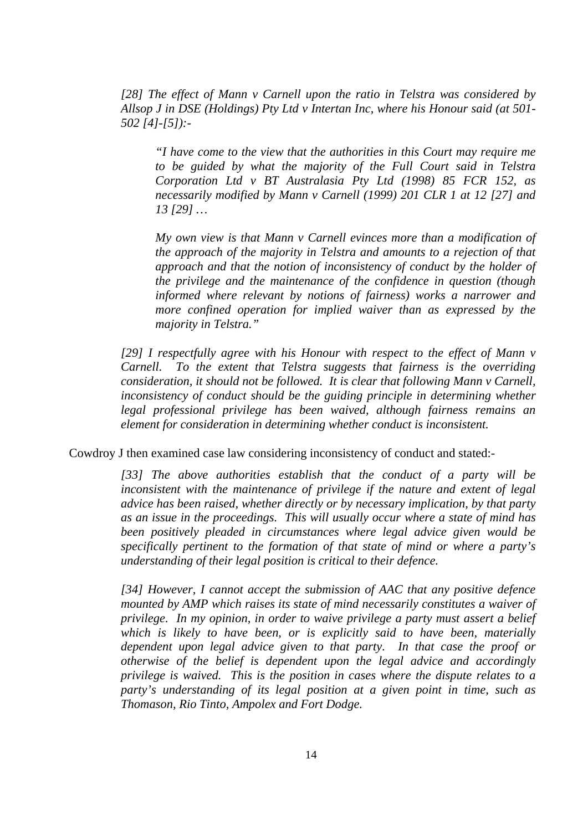*[28] The effect of Mann v Carnell upon the ratio in Telstra was considered by Allsop J in DSE (Holdings) Pty Ltd v Intertan Inc, where his Honour said (at 501- 502 [4]-[5]):-* 

*"I have come to the view that the authorities in this Court may require me to be guided by what the majority of the Full Court said in Telstra Corporation Ltd v BT Australasia Pty Ltd (1998) 85 FCR 152, as necessarily modified by Mann v Carnell (1999) 201 CLR 1 at 12 [27] and 13 [29] …* 

*My own view is that Mann v Carnell evinces more than a modification of the approach of the majority in Telstra and amounts to a rejection of that approach and that the notion of inconsistency of conduct by the holder of the privilege and the maintenance of the confidence in question (though informed where relevant by notions of fairness) works a narrower and more confined operation for implied waiver than as expressed by the majority in Telstra."* 

*[29] I respectfully agree with his Honour with respect to the effect of Mann v Carnell. To the extent that Telstra suggests that fairness is the overriding consideration, it should not be followed. It is clear that following Mann v Carnell, inconsistency of conduct should be the guiding principle in determining whether legal professional privilege has been waived, although fairness remains an element for consideration in determining whether conduct is inconsistent.* 

Cowdroy J then examined case law considering inconsistency of conduct and stated:-

*[33] The above authorities establish that the conduct of a party will be inconsistent with the maintenance of privilege if the nature and extent of legal advice has been raised, whether directly or by necessary implication, by that party as an issue in the proceedings. This will usually occur where a state of mind has been positively pleaded in circumstances where legal advice given would be specifically pertinent to the formation of that state of mind or where a party's understanding of their legal position is critical to their defence.* 

*[34] However, I cannot accept the submission of AAC that any positive defence mounted by AMP which raises its state of mind necessarily constitutes a waiver of privilege. In my opinion, in order to waive privilege a party must assert a belief which is likely to have been, or is explicitly said to have been, materially dependent upon legal advice given to that party. In that case the proof or otherwise of the belief is dependent upon the legal advice and accordingly privilege is waived. This is the position in cases where the dispute relates to a party's understanding of its legal position at a given point in time, such as Thomason, Rio Tinto, Ampolex and Fort Dodge.*